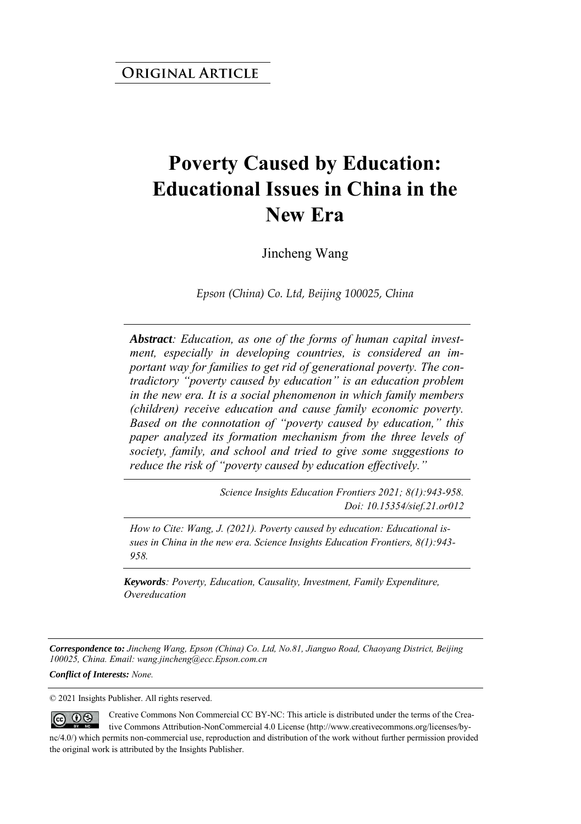# **Poverty Caused by Education: Educational Issues in China in the New Era**

Jincheng Wang

*Epson (China) Co. Ltd, Beijing 100025, China*

*Abstract: Education, as one of the forms of human capital investment, especially in developing countries, is considered an important way for families to get rid of generational poverty. The contradictory "poverty caused by education" is an education problem in the new era. It is a social phenomenon in which family members (children) receive education and cause family economic poverty. Based on the connotation of "poverty caused by education," this paper analyzed its formation mechanism from the three levels of society, family, and school and tried to give some suggestions to reduce the risk of "poverty caused by education effectively."*

> *Science Insights Education Frontiers 2021; 8(1):943-958. Doi: 10.15354/sief.21.or012*

*How to Cite: Wang, J. (2021). Poverty caused by education: Educational issues in China in the new era. Science Insights Education Frontiers, 8(1):943- 958.*

*Keywords: Poverty, Education, Causality, Investment, Family Expenditure, Overeducation*

*Correspondence to: Jincheng Wang, Epson (China) Co. Ltd, No.81, Jianguo Road, Chaoyang District, Beijing 100025, China. Email: wang.jincheng@ecc.Epson.com.cn* 

*Conflict of Interests: None.* 

© 2021 Insights Publisher. All rights reserved.

Creative Commons Non Commercial CC BY-NC: This article is distributed under the terms of the Crea- $\circledcirc$   $\circledcirc$ tive Commons Attribution-NonCommercial 4.0 License (http://www.creativecommons.org/licenses/bync/4.0/) which permits non-commercial use, reproduction and distribution of the work without further permission provided the original work is attributed by the Insights Publisher.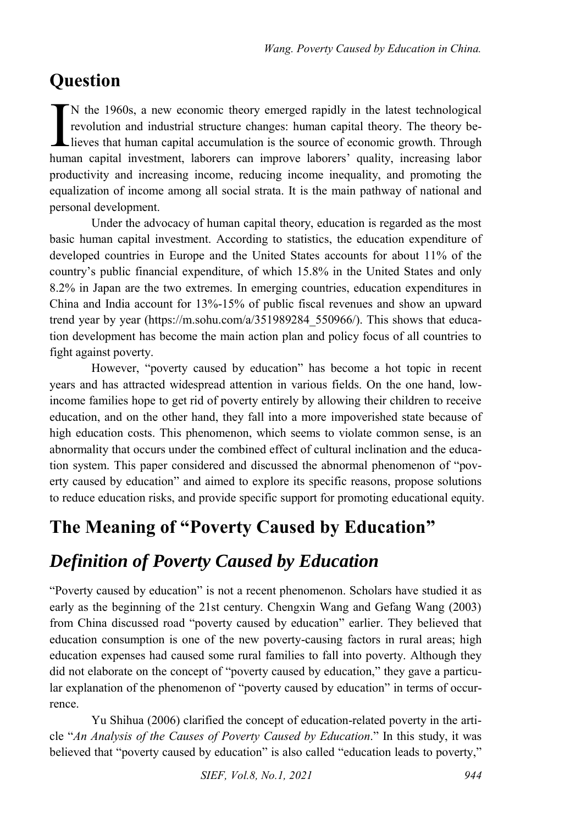## **Question**

N the 1960s, a new economic theory emerged rapidly in the latest technological revolution and industrial structure changes: human capital theory. The theory believes that human capital accumulation is the source of economic growth. Through N the 1960s, a new economic theory emerged rapidly in the latest technological revolution and industrial structure changes: human capital theory. The theory believes that human capital accumulation is the source of economi productivity and increasing income, reducing income inequality, and promoting the equalization of income among all social strata. It is the main pathway of national and personal development.

Under the advocacy of human capital theory, education is regarded as the most basic human capital investment. According to statistics, the education expenditure of developed countries in Europe and the United States accounts for about 11% of the country's public financial expenditure, of which 15.8% in the United States and only 8.2% in Japan are the two extremes. In emerging countries, education expenditures in China and India account for 13%-15% of public fiscal revenues and show an upward trend year by year (https://m.sohu.com/a/351989284\_550966/). This shows that education development has become the main action plan and policy focus of all countries to fight against poverty.

However, "poverty caused by education" has become a hot topic in recent years and has attracted widespread attention in various fields. On the one hand, lowincome families hope to get rid of poverty entirely by allowing their children to receive education, and on the other hand, they fall into a more impoverished state because of high education costs. This phenomenon, which seems to violate common sense, is an abnormality that occurs under the combined effect of cultural inclination and the education system. This paper considered and discussed the abnormal phenomenon of "poverty caused by education" and aimed to explore its specific reasons, propose solutions to reduce education risks, and provide specific support for promoting educational equity.

## **The Meaning of "Poverty Caused by Education"**

## *Definition of Poverty Caused by Education*

"Poverty caused by education" is not a recent phenomenon. Scholars have studied it as early as the beginning of the 21st century. Chengxin Wang and Gefang Wang (2003) from China discussed road "poverty caused by education" earlier. They believed that education consumption is one of the new poverty-causing factors in rural areas; high education expenses had caused some rural families to fall into poverty. Although they did not elaborate on the concept of "poverty caused by education," they gave a particular explanation of the phenomenon of "poverty caused by education" in terms of occurrence.

Yu Shihua (2006) clarified the concept of education-related poverty in the article "*An Analysis of the Causes of Poverty Caused by Education*." In this study, it was believed that "poverty caused by education" is also called "education leads to poverty,"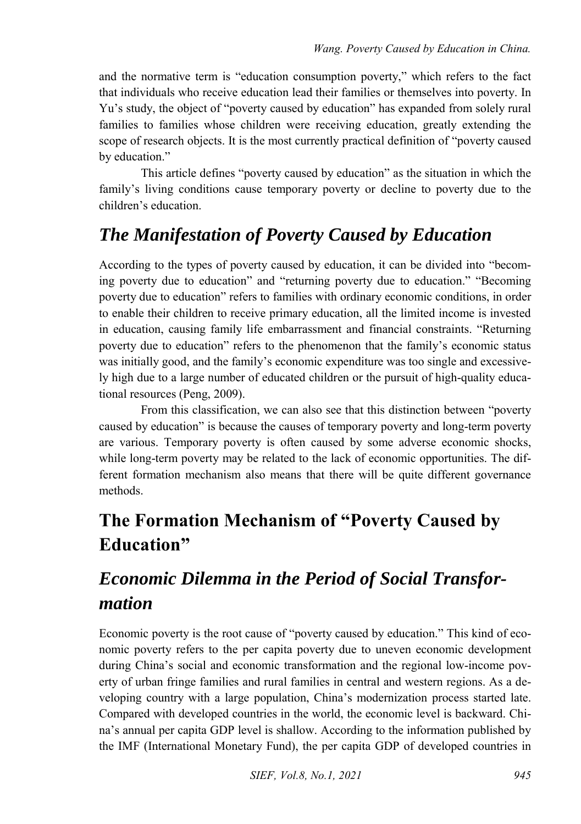and the normative term is "education consumption poverty," which refers to the fact that individuals who receive education lead their families or themselves into poverty. In Yu's study, the object of "poverty caused by education" has expanded from solely rural families to families whose children were receiving education, greatly extending the scope of research objects. It is the most currently practical definition of "poverty caused by education."

This article defines "poverty caused by education" as the situation in which the family's living conditions cause temporary poverty or decline to poverty due to the children's education.

# *The Manifestation of Poverty Caused by Education*

According to the types of poverty caused by education, it can be divided into "becoming poverty due to education" and "returning poverty due to education." "Becoming poverty due to education" refers to families with ordinary economic conditions, in order to enable their children to receive primary education, all the limited income is invested in education, causing family life embarrassment and financial constraints. "Returning poverty due to education" refers to the phenomenon that the family's economic status was initially good, and the family's economic expenditure was too single and excessively high due to a large number of educated children or the pursuit of high-quality educational resources (Peng, 2009).

From this classification, we can also see that this distinction between "poverty caused by education" is because the causes of temporary poverty and long-term poverty are various. Temporary poverty is often caused by some adverse economic shocks, while long-term poverty may be related to the lack of economic opportunities. The different formation mechanism also means that there will be quite different governance methods.

## **The Formation Mechanism of "Poverty Caused by Education"**

## *Economic Dilemma in the Period of Social Transformation*

Economic poverty is the root cause of "poverty caused by education." This kind of economic poverty refers to the per capita poverty due to uneven economic development during China's social and economic transformation and the regional low-income poverty of urban fringe families and rural families in central and western regions. As a developing country with a large population, China's modernization process started late. Compared with developed countries in the world, the economic level is backward. China's annual per capita GDP level is shallow. According to the information published by the IMF (International Monetary Fund), the per capita GDP of developed countries in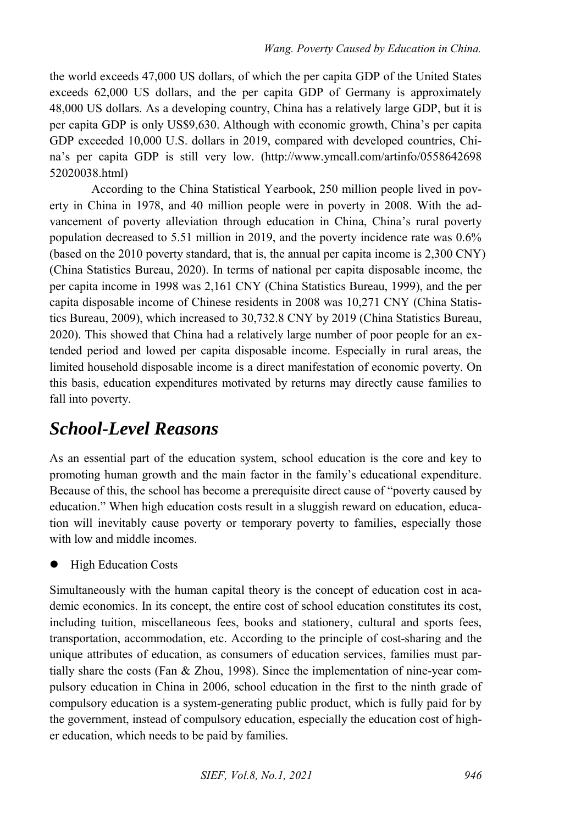the world exceeds 47,000 US dollars, of which the per capita GDP of the United States exceeds 62,000 US dollars, and the per capita GDP of Germany is approximately 48,000 US dollars. As a developing country, China has a relatively large GDP, but it is per capita GDP is only US\$9,630. Although with economic growth, China's per capita GDP exceeded 10,000 U.S. dollars in 2019, compared with developed countries, China's per capita GDP is still very low. (http://www.ymcall.com/artinfo/0558642698 52020038.html)

According to the China Statistical Yearbook, 250 million people lived in poverty in China in 1978, and 40 million people were in poverty in 2008. With the advancement of poverty alleviation through education in China, China's rural poverty population decreased to 5.51 million in 2019, and the poverty incidence rate was 0.6% (based on the 2010 poverty standard, that is, the annual per capita income is 2,300 CNY) (China Statistics Bureau, 2020). In terms of national per capita disposable income, the per capita income in 1998 was 2,161 CNY (China Statistics Bureau, 1999), and the per capita disposable income of Chinese residents in 2008 was 10,271 CNY (China Statistics Bureau, 2009), which increased to 30,732.8 CNY by 2019 (China Statistics Bureau, 2020). This showed that China had a relatively large number of poor people for an extended period and lowed per capita disposable income. Especially in rural areas, the limited household disposable income is a direct manifestation of economic poverty. On this basis, education expenditures motivated by returns may directly cause families to fall into poverty.

#### *School-Level Reasons*

As an essential part of the education system, school education is the core and key to promoting human growth and the main factor in the family's educational expenditure. Because of this, the school has become a prerequisite direct cause of "poverty caused by education." When high education costs result in a sluggish reward on education, education will inevitably cause poverty or temporary poverty to families, especially those with low and middle incomes.

High Education Costs

Simultaneously with the human capital theory is the concept of education cost in academic economics. In its concept, the entire cost of school education constitutes its cost, including tuition, miscellaneous fees, books and stationery, cultural and sports fees, transportation, accommodation, etc. According to the principle of cost-sharing and the unique attributes of education, as consumers of education services, families must partially share the costs (Fan & Zhou, 1998). Since the implementation of nine-year compulsory education in China in 2006, school education in the first to the ninth grade of compulsory education is a system-generating public product, which is fully paid for by the government, instead of compulsory education, especially the education cost of higher education, which needs to be paid by families.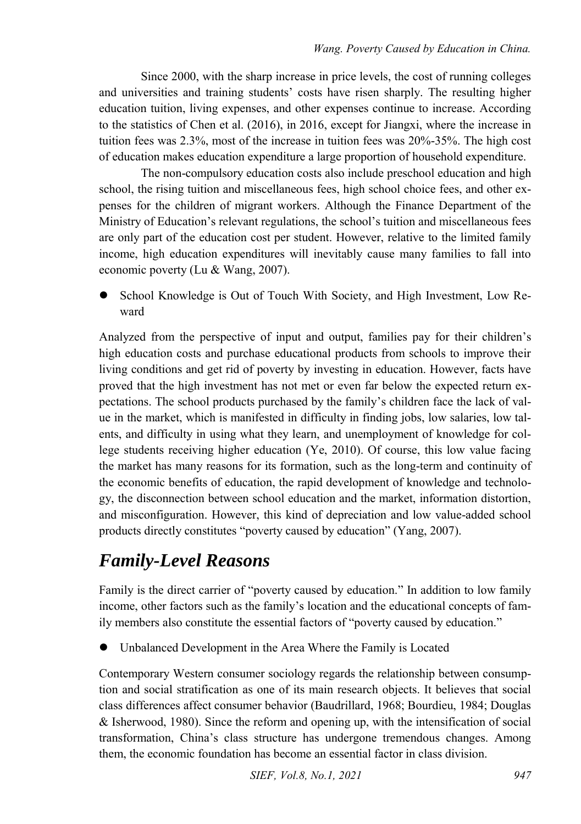Since 2000, with the sharp increase in price levels, the cost of running colleges and universities and training students' costs have risen sharply. The resulting higher education tuition, living expenses, and other expenses continue to increase. According to the statistics of Chen et al. (2016), in 2016, except for Jiangxi, where the increase in tuition fees was 2.3%, most of the increase in tuition fees was 20%-35%. The high cost of education makes education expenditure a large proportion of household expenditure.

The non-compulsory education costs also include preschool education and high school, the rising tuition and miscellaneous fees, high school choice fees, and other expenses for the children of migrant workers. Although the Finance Department of the Ministry of Education's relevant regulations, the school's tuition and miscellaneous fees are only part of the education cost per student. However, relative to the limited family income, high education expenditures will inevitably cause many families to fall into economic poverty (Lu & Wang, 2007).

 School Knowledge is Out of Touch With Society, and High Investment, Low Reward

Analyzed from the perspective of input and output, families pay for their children's high education costs and purchase educational products from schools to improve their living conditions and get rid of poverty by investing in education. However, facts have proved that the high investment has not met or even far below the expected return expectations. The school products purchased by the family's children face the lack of value in the market, which is manifested in difficulty in finding jobs, low salaries, low talents, and difficulty in using what they learn, and unemployment of knowledge for college students receiving higher education (Ye, 2010). Of course, this low value facing the market has many reasons for its formation, such as the long-term and continuity of the economic benefits of education, the rapid development of knowledge and technology, the disconnection between school education and the market, information distortion, and misconfiguration. However, this kind of depreciation and low value-added school products directly constitutes "poverty caused by education" (Yang, 2007).

## *Family-Level Reasons*

Family is the direct carrier of "poverty caused by education." In addition to low family income, other factors such as the family's location and the educational concepts of family members also constitute the essential factors of "poverty caused by education."

Unbalanced Development in the Area Where the Family is Located

Contemporary Western consumer sociology regards the relationship between consumption and social stratification as one of its main research objects. It believes that social class differences affect consumer behavior (Baudrillard, 1968; Bourdieu, 1984; Douglas & Isherwood, 1980). Since the reform and opening up, with the intensification of social transformation, China's class structure has undergone tremendous changes. Among them, the economic foundation has become an essential factor in class division.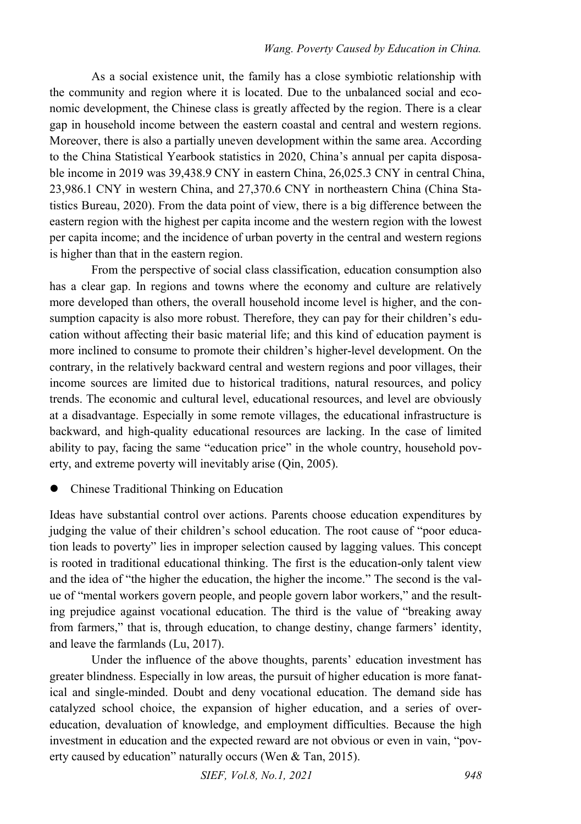As a social existence unit, the family has a close symbiotic relationship with the community and region where it is located. Due to the unbalanced social and economic development, the Chinese class is greatly affected by the region. There is a clear gap in household income between the eastern coastal and central and western regions. Moreover, there is also a partially uneven development within the same area. According to the China Statistical Yearbook statistics in 2020, China's annual per capita disposable income in 2019 was 39,438.9 CNY in eastern China, 26,025.3 CNY in central China, 23,986.1 CNY in western China, and 27,370.6 CNY in northeastern China (China Statistics Bureau, 2020). From the data point of view, there is a big difference between the eastern region with the highest per capita income and the western region with the lowest per capita income; and the incidence of urban poverty in the central and western regions is higher than that in the eastern region.

From the perspective of social class classification, education consumption also has a clear gap. In regions and towns where the economy and culture are relatively more developed than others, the overall household income level is higher, and the consumption capacity is also more robust. Therefore, they can pay for their children's education without affecting their basic material life; and this kind of education payment is more inclined to consume to promote their children's higher-level development. On the contrary, in the relatively backward central and western regions and poor villages, their income sources are limited due to historical traditions, natural resources, and policy trends. The economic and cultural level, educational resources, and level are obviously at a disadvantage. Especially in some remote villages, the educational infrastructure is backward, and high-quality educational resources are lacking. In the case of limited ability to pay, facing the same "education price" in the whole country, household poverty, and extreme poverty will inevitably arise (Qin, 2005).

Chinese Traditional Thinking on Education

Ideas have substantial control over actions. Parents choose education expenditures by judging the value of their children's school education. The root cause of "poor education leads to poverty" lies in improper selection caused by lagging values. This concept is rooted in traditional educational thinking. The first is the education-only talent view and the idea of "the higher the education, the higher the income." The second is the value of "mental workers govern people, and people govern labor workers," and the resulting prejudice against vocational education. The third is the value of "breaking away from farmers," that is, through education, to change destiny, change farmers' identity, and leave the farmlands (Lu, 2017).

Under the influence of the above thoughts, parents' education investment has greater blindness. Especially in low areas, the pursuit of higher education is more fanatical and single-minded. Doubt and deny vocational education. The demand side has catalyzed school choice, the expansion of higher education, and a series of overeducation, devaluation of knowledge, and employment difficulties. Because the high investment in education and the expected reward are not obvious or even in vain, "poverty caused by education" naturally occurs (Wen & Tan, 2015).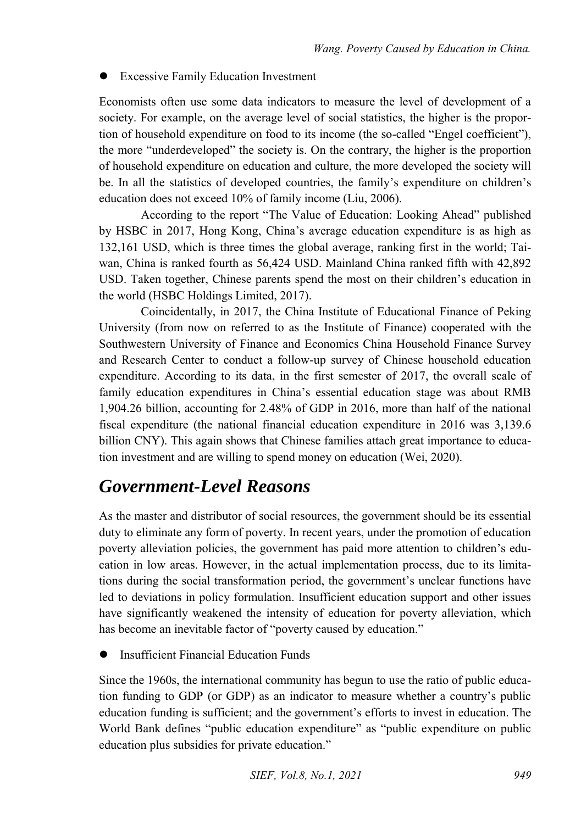Excessive Family Education Investment

Economists often use some data indicators to measure the level of development of a society. For example, on the average level of social statistics, the higher is the proportion of household expenditure on food to its income (the so-called "Engel coefficient"), the more "underdeveloped" the society is. On the contrary, the higher is the proportion of household expenditure on education and culture, the more developed the society will be. In all the statistics of developed countries, the family's expenditure on children's education does not exceed 10% of family income (Liu, 2006).

According to the report "The Value of Education: Looking Ahead" published by HSBC in 2017, Hong Kong, China's average education expenditure is as high as 132,161 USD, which is three times the global average, ranking first in the world; Taiwan, China is ranked fourth as 56,424 USD. Mainland China ranked fifth with 42,892 USD. Taken together, Chinese parents spend the most on their children's education in the world (HSBC Holdings Limited, 2017).

Coincidentally, in 2017, the China Institute of Educational Finance of Peking University (from now on referred to as the Institute of Finance) cooperated with the Southwestern University of Finance and Economics China Household Finance Survey and Research Center to conduct a follow-up survey of Chinese household education expenditure. According to its data, in the first semester of 2017, the overall scale of family education expenditures in China's essential education stage was about RMB 1,904.26 billion, accounting for 2.48% of GDP in 2016, more than half of the national fiscal expenditure (the national financial education expenditure in 2016 was 3,139.6 billion CNY). This again shows that Chinese families attach great importance to education investment and are willing to spend money on education (Wei, 2020).

#### *Government-Level Reasons*

As the master and distributor of social resources, the government should be its essential duty to eliminate any form of poverty. In recent years, under the promotion of education poverty alleviation policies, the government has paid more attention to children's education in low areas. However, in the actual implementation process, due to its limitations during the social transformation period, the government's unclear functions have led to deviations in policy formulation. Insufficient education support and other issues have significantly weakened the intensity of education for poverty alleviation, which has become an inevitable factor of "poverty caused by education."

Insufficient Financial Education Funds

Since the 1960s, the international community has begun to use the ratio of public education funding to GDP (or GDP) as an indicator to measure whether a country's public education funding is sufficient; and the government's efforts to invest in education. The World Bank defines "public education expenditure" as "public expenditure on public education plus subsidies for private education."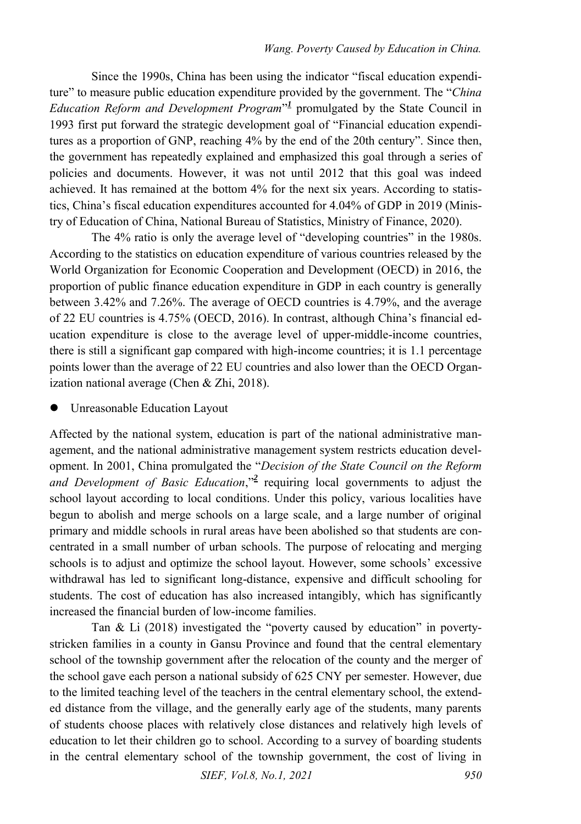Since the 1990s, China has been using the indicator "fiscal education expenditure" to measure public education expenditure provided by the government. The "*China*  EducationReform and Development Program"<sup>1</sup> promulgated by the State Council in 1993 first put forward the strategic development goal of "Financial education expenditures as a proportion of GNP, reaching 4% by the end of the 20th century". Since then, the government has repeatedly explained and emphasized this goal through a series of policies and documents. However, it was not until 2012 that this goal was indeed achieved. It has remained at the bottom 4% for the next six years. According to statistics, China's fiscal education expenditures accounted for 4.04% of GDP in 2019 (Ministry of Education of China, National Bureau of Statistics, Ministry of Finance, 2020).

The 4% ratio is only the average level of "developing countries" in the 1980s. According to the statistics on education expenditure of various countries released by the World Organization for Economic Cooperation and Development (OECD) in 2016, the proportion of public finance education expenditure in GDP in each country is generally between 3.42% and 7.26%. The average of OECD countries is 4.79%, and the average of 22 EU countries is 4.75% (OECD, 2016). In contrast, although China's financial education expenditure is close to the average level of upper-middle-income countries, there is still a significant gap compared with high-income countries; it is 1.1 percentage points lower than the average of 22 EU countries and also lower than the OECD Organization national average (Chen & Zhi, 2018).

Unreasonable Education Layout

Affected by the national system, education is part of the national administrative management, and the national administrative management system restricts education development. In 2001, China promulgated the "*Decision of the State Council on the Reform*  andDevelopment of Basic Education,"<sup>2</sup> requiring local governments to adjust the school layout according to local conditions. Under this policy, various localities have begun to abolish and merge schools on a large scale, and a large number of original primary and middle schools in rural areas have been abolished so that students are concentrated in a small number of urban schools. The purpose of relocating and merging schools is to adjust and optimize the school layout. However, some schools' excessive withdrawal has led to significant long-distance, expensive and difficult schooling for students. The cost of education has also increased intangibly, which has significantly increased the financial burden of low-income families.

Tan & Li (2018) investigated the "poverty caused by education" in povertystricken families in a county in Gansu Province and found that the central elementary school of the township government after the relocation of the county and the merger of the school gave each person a national subsidy of 625 CNY per semester. However, due to the limited teaching level of the teachers in the central elementary school, the extended distance from the village, and the generally early age of the students, many parents of students choose places with relatively close distances and relatively high levels of education to let their children go to school. According to a survey of boarding students in the central elementary school of the township government, the cost of living in

*SIEF, Vol.8, No.1, 2021 950*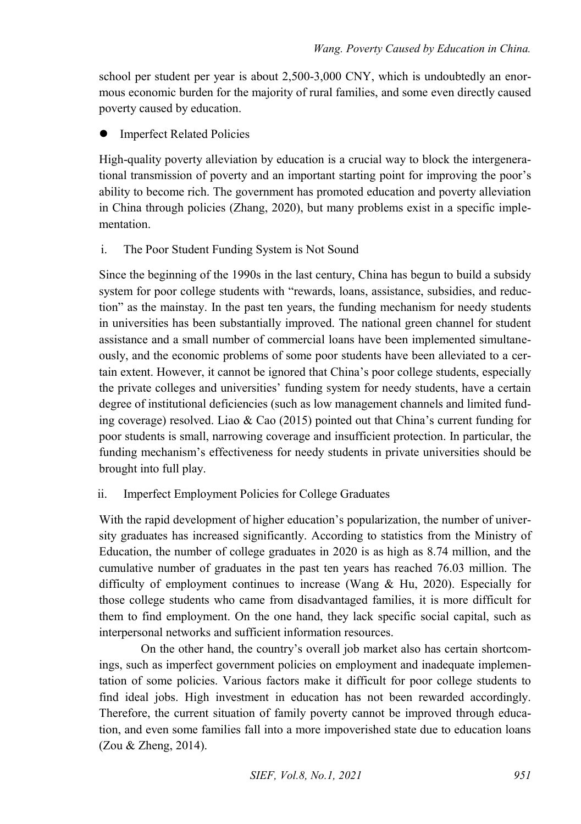school per student per year is about 2,500-3,000 CNY, which is undoubtedly an enormous economic burden for the majority of rural families, and some even directly caused poverty caused by education.

Imperfect Related Policies

High-quality poverty alleviation by education is a crucial way to block the intergenerational transmission of poverty and an important starting point for improving the poor's ability to become rich. The government has promoted education and poverty alleviation in China through policies (Zhang, 2020), but many problems exist in a specific implementation.

i. The Poor Student Funding System is Not Sound

Since the beginning of the 1990s in the last century, China has begun to build a subsidy system for poor college students with "rewards, loans, assistance, subsidies, and reduction" as the mainstay. In the past ten years, the funding mechanism for needy students in universities has been substantially improved. The national green channel for student assistance and a small number of commercial loans have been implemented simultaneously, and the economic problems of some poor students have been alleviated to a certain extent. However, it cannot be ignored that China's poor college students, especially the private colleges and universities' funding system for needy students, have a certain degree of institutional deficiencies (such as low management channels and limited funding coverage) resolved. Liao & Cao (2015) pointed out that China's current funding for poor students is small, narrowing coverage and insufficient protection. In particular, the funding mechanism's effectiveness for needy students in private universities should be brought into full play.

ii. Imperfect Employment Policies for College Graduates

With the rapid development of higher education's popularization, the number of university graduates has increased significantly. According to statistics from the Ministry of Education, the number of college graduates in 2020 is as high as 8.74 million, and the cumulative number of graduates in the past ten years has reached 76.03 million. The difficulty of employment continues to increase (Wang & Hu, 2020). Especially for those college students who came from disadvantaged families, it is more difficult for them to find employment. On the one hand, they lack specific social capital, such as interpersonal networks and sufficient information resources.

On the other hand, the country's overall job market also has certain shortcomings, such as imperfect government policies on employment and inadequate implementation of some policies. Various factors make it difficult for poor college students to find ideal jobs. High investment in education has not been rewarded accordingly. Therefore, the current situation of family poverty cannot be improved through education, and even some families fall into a more impoverished state due to education loans (Zou & Zheng, 2014).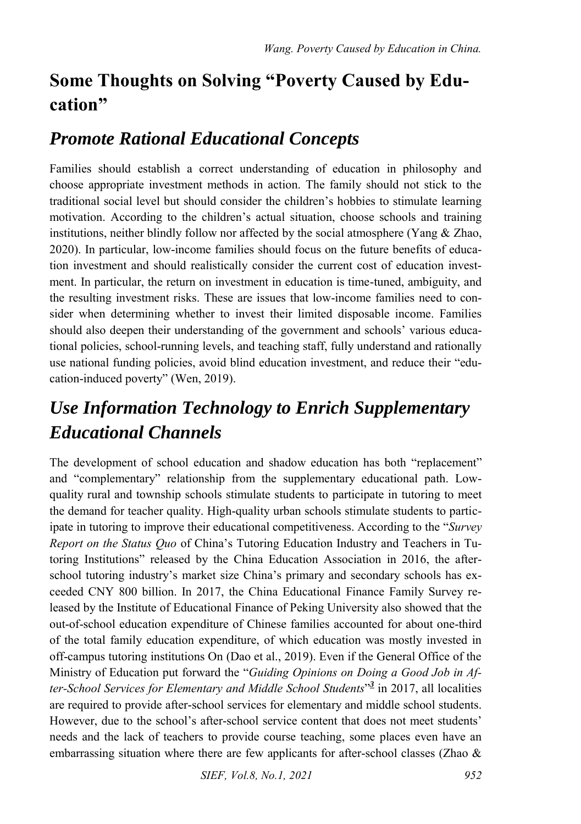## **Some Thoughts on Solving "Poverty Caused by Education"**

## *Promote Rational Educational Concepts*

Families should establish a correct understanding of education in philosophy and choose appropriate investment methods in action. The family should not stick to the traditional social level but should consider the children's hobbies to stimulate learning motivation. According to the children's actual situation, choose schools and training institutions, neither blindly follow nor affected by the social atmosphere (Yang  $&$  Zhao, 2020). In particular, low-income families should focus on the future benefits of education investment and should realistically consider the current cost of education investment. In particular, the return on investment in education is time-tuned, ambiguity, and the resulting investment risks. These are issues that low-income families need to consider when determining whether to invest their limited disposable income. Families should also deepen their understanding of the government and schools' various educational policies, school-running levels, and teaching staff, fully understand and rationally use national funding policies, avoid blind education investment, and reduce their "education-induced poverty" (Wen, 2019).

## *Use Information Technology to Enrich Supplementary Educational Channels*

The development of school education and shadow education has both "replacement" and "complementary" relationship from the supplementary educational path. Lowquality rural and township schools stimulate students to participate in tutoring to meet the demand for teacher quality. High-quality urban schools stimulate students to participate in tutoring to improve their educational competitiveness. According to the "*Survey Report on the Status Quo* of China's Tutoring Education Industry and Teachers in Tutoring Institutions" released by the China Education Association in 2016, the afterschool tutoring industry's market size China's primary and secondary schools has exceeded CNY 800 billion. In 2017, the China Educational Finance Family Survey released by the Institute of Educational Finance of Peking University also showed that the out-of-school education expenditure of Chinese families accounted for about one-third of the total family education expenditure, of which education was mostly invested in off-campus tutoring institutions On (Dao et al., 2019). Even if the General Office of the Ministry of Education put forward the "*Guiding Opinions on Doing a Good Job in After-School Services for Elementary and Middle School Students*" *3* in 2017, all localities are required to provide after-school services for elementary and middle school students. However, due to the school's after-school service content that does not meet students' needs and the lack of teachers to provide course teaching, some places even have an embarrassing situation where there are few applicants for after-school classes (Zhao &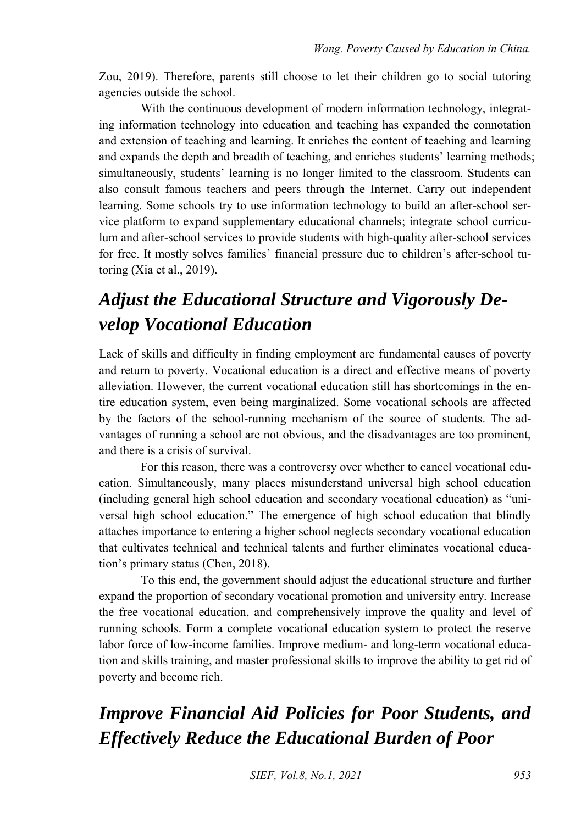Zou, 2019). Therefore, parents still choose to let their children go to social tutoring agencies outside the school.

With the continuous development of modern information technology, integrating information technology into education and teaching has expanded the connotation and extension of teaching and learning. It enriches the content of teaching and learning and expands the depth and breadth of teaching, and enriches students' learning methods; simultaneously, students' learning is no longer limited to the classroom. Students can also consult famous teachers and peers through the Internet. Carry out independent learning. Some schools try to use information technology to build an after-school service platform to expand supplementary educational channels; integrate school curriculum and after-school services to provide students with high-quality after-school services for free. It mostly solves families' financial pressure due to children's after-school tutoring (Xia et al., 2019).

## *Adjust the Educational Structure and Vigorously Develop Vocational Education*

Lack of skills and difficulty in finding employment are fundamental causes of poverty and return to poverty. Vocational education is a direct and effective means of poverty alleviation. However, the current vocational education still has shortcomings in the entire education system, even being marginalized. Some vocational schools are affected by the factors of the school-running mechanism of the source of students. The advantages of running a school are not obvious, and the disadvantages are too prominent, and there is a crisis of survival.

For this reason, there was a controversy over whether to cancel vocational education. Simultaneously, many places misunderstand universal high school education (including general high school education and secondary vocational education) as "universal high school education." The emergence of high school education that blindly attaches importance to entering a higher school neglects secondary vocational education that cultivates technical and technical talents and further eliminates vocational education's primary status (Chen, 2018).

To this end, the government should adjust the educational structure and further expand the proportion of secondary vocational promotion and university entry. Increase the free vocational education, and comprehensively improve the quality and level of running schools. Form a complete vocational education system to protect the reserve labor force of low-income families. Improve medium- and long-term vocational education and skills training, and master professional skills to improve the ability to get rid of poverty and become rich.

## *Improve Financial Aid Policies for Poor Students, and Effectively Reduce the Educational Burden of Poor*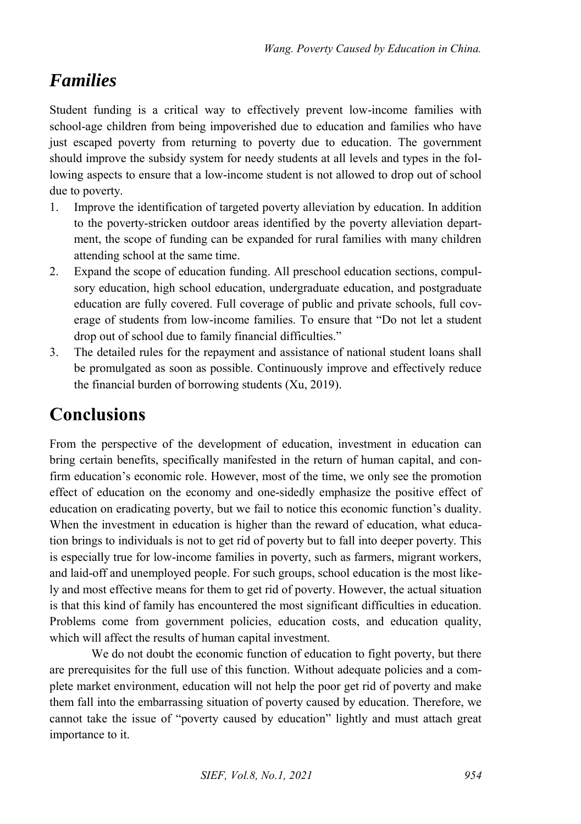#### *Families*

Student funding is a critical way to effectively prevent low-income families with school-age children from being impoverished due to education and families who have just escaped poverty from returning to poverty due to education. The government should improve the subsidy system for needy students at all levels and types in the following aspects to ensure that a low-income student is not allowed to drop out of school due to poverty.

- 1. Improve the identification of targeted poverty alleviation by education. In addition to the poverty-stricken outdoor areas identified by the poverty alleviation department, the scope of funding can be expanded for rural families with many children attending school at the same time.
- 2. Expand the scope of education funding. All preschool education sections, compulsory education, high school education, undergraduate education, and postgraduate education are fully covered. Full coverage of public and private schools, full coverage of students from low-income families. To ensure that "Do not let a student drop out of school due to family financial difficulties."
- 3. The detailed rules for the repayment and assistance of national student loans shall be promulgated as soon as possible. Continuously improve and effectively reduce the financial burden of borrowing students (Xu, 2019).

## **Conclusions**

From the perspective of the development of education, investment in education can bring certain benefits, specifically manifested in the return of human capital, and confirm education's economic role. However, most of the time, we only see the promotion effect of education on the economy and one-sidedly emphasize the positive effect of education on eradicating poverty, but we fail to notice this economic function's duality. When the investment in education is higher than the reward of education, what education brings to individuals is not to get rid of poverty but to fall into deeper poverty. This is especially true for low-income families in poverty, such as farmers, migrant workers, and laid-off and unemployed people. For such groups, school education is the most likely and most effective means for them to get rid of poverty. However, the actual situation is that this kind of family has encountered the most significant difficulties in education. Problems come from government policies, education costs, and education quality, which will affect the results of human capital investment.

We do not doubt the economic function of education to fight poverty, but there are prerequisites for the full use of this function. Without adequate policies and a complete market environment, education will not help the poor get rid of poverty and make them fall into the embarrassing situation of poverty caused by education. Therefore, we cannot take the issue of "poverty caused by education" lightly and must attach great importance to it.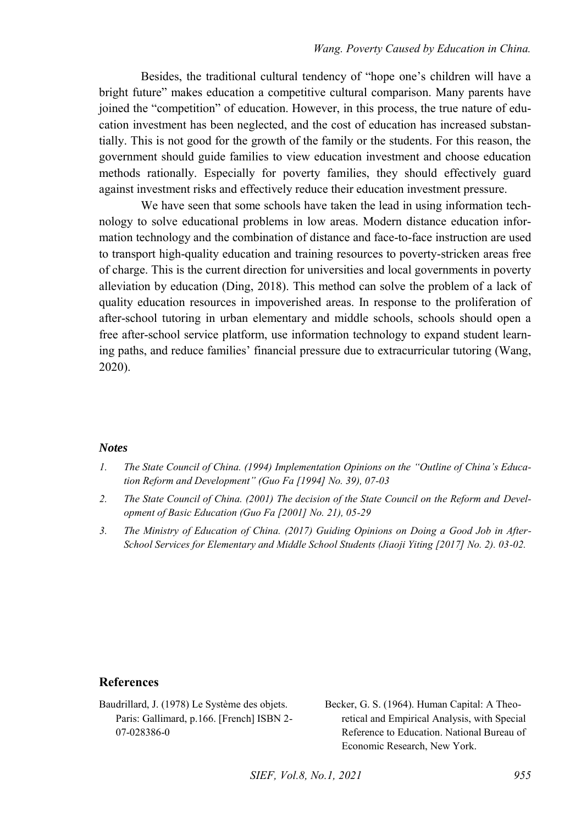Besides, the traditional cultural tendency of "hope one's children will have a bright future" makes education a competitive cultural comparison. Many parents have joined the "competition" of education. However, in this process, the true nature of education investment has been neglected, and the cost of education has increased substantially. This is not good for the growth of the family or the students. For this reason, the government should guide families to view education investment and choose education methods rationally. Especially for poverty families, they should effectively guard against investment risks and effectively reduce their education investment pressure.

We have seen that some schools have taken the lead in using information technology to solve educational problems in low areas. Modern distance education information technology and the combination of distance and face-to-face instruction are used to transport high-quality education and training resources to poverty-stricken areas free of charge. This is the current direction for universities and local governments in poverty alleviation by education (Ding, 2018). This method can solve the problem of a lack of quality education resources in impoverished areas. In response to the proliferation of after-school tutoring in urban elementary and middle schools, schools should open a free after-school service platform, use information technology to expand student learning paths, and reduce families' financial pressure due to extracurricular tutoring (Wang, 2020).

#### *Notes*

- <span id="page-12-0"></span>*1. The State Council of China. (1994) Implementation Opinions on the "Outline of China's Education Reform and Development" (Guo Fa [1994] No. 39), 07-03*
- <span id="page-12-1"></span>*2. The State Council of China. (2001) The decision of the State Council on the Reform and Development of Basic Education (Guo Fa [2001] No. 21), 05-29*
- <span id="page-12-2"></span>*3. The Ministry of Education of China. (2017) Guiding Opinions on Doing a Good Job in After-School Services for Elementary and Middle School Students (Jiaoji Yiting [2017] No. 2). 03-02.*

#### **References**

Baudrillard, J. (1978) Le Système des objets. Paris: Gallimard, p.166. [French] ISBN 2- 07-028386-0

Becker, G. S. (1964). Human Capital: A Theoretical and Empirical Analysis, with Special Reference to Education. National Bureau of Economic Research, New York.

*SIEF, Vol.8, No.1, 2021 955*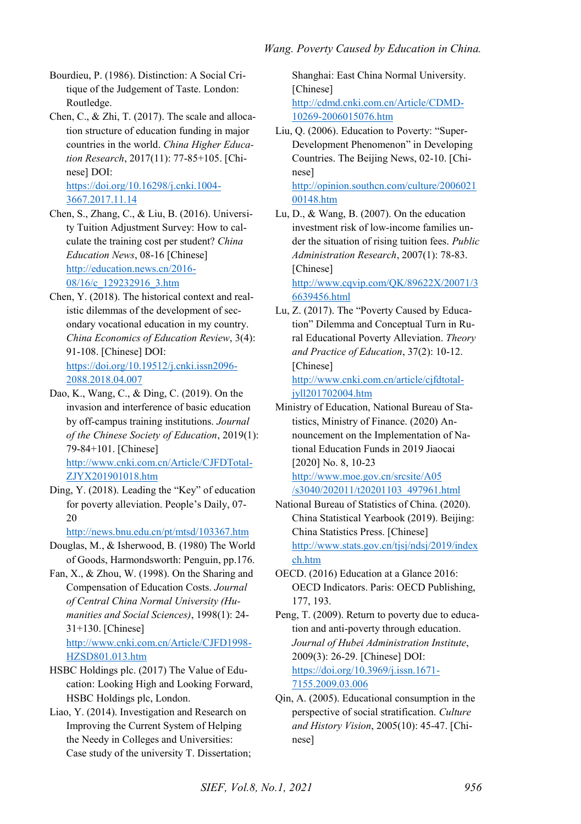- Bourdieu, P. (1986). Distinction: A Social Critique of the Judgement of Taste. London: Routledge.
- Chen, C., & Zhi, T. (2017). The scale and allocation structure of education funding in major countries in the world. *China Higher Education Research*, 2017(11): 77-85+105. [Chinese] DOI: [https://doi.org/10.16298/j.cnki.1004-](https://doi.org/10.16298/j.cnki.1004-3667.2017.11.14) [3667.2017.11.14](https://doi.org/10.16298/j.cnki.1004-3667.2017.11.14)
- Chen, S., Zhang, C., & Liu, B. (2016). University Tuition Adjustment Survey: How to calculate the training cost per student? *China Education News*, 08-16 [Chinese] [http://education.news.cn/2016-](http://education.news.cn/2016-08/16/c_129232916_3.htm) [08/16/c\\_129232916\\_3.htm](http://education.news.cn/2016-08/16/c_129232916_3.htm)
- Chen, Y. (2018). The historical context and realistic dilemmas of the development of secondary vocational education in my country. *China Economics of Education Review*, 3(4): 91-108. [Chinese] DOI: [https://doi.org/10.19512/j.cnki.issn2096-](https://doi.org/10.19512/j.cnki.issn2096-2088.2018.04.007) [2088.2018.04.007](https://doi.org/10.19512/j.cnki.issn2096-2088.2018.04.007)
- Dao, K., Wang, C., & Ding, C. (2019). On the invasion and interference of basic education by off-campus training institutions. *Journal of the Chinese Society of Education*, 2019(1): 79-84+101. [Chinese] [http://www.cnki.com.cn/Article/CJFDTotal-](http://www.cnki.com.cn/Article/CJFDTotal-ZJYX201901018.htm)[ZJYX201901018.htm](http://www.cnki.com.cn/Article/CJFDTotal-ZJYX201901018.htm)
- Ding, Y. (2018). Leading the "Key" of education for poverty alleviation. People's Daily, 07- 20

<http://news.bnu.edu.cn/pt/mtsd/103367.htm>

- Douglas, M., & Isherwood, B. (1980) The World of Goods, Harmondsworth: Penguin, pp.176.
- Fan, X., & Zhou, W. (1998). On the Sharing and Compensation of Education Costs. *Journal of Central China Normal University (Humanities and Social Sciences)*, 1998(1): 24- 31+130. [Chinese] [http://www.cnki.com.cn/Article/CJFD1998-](http://www.cnki.com.cn/Article/CJFD1998-HZSD801.013.htm)

[HZSD801.013.htm](http://www.cnki.com.cn/Article/CJFD1998-HZSD801.013.htm)  HSBC Holdings plc. (2017) The Value of Edu-

- cation: Looking High and Looking Forward, HSBC Holdings plc, London.
- Liao, Y. (2014). Investigation and Research on Improving the Current System of Helping the Needy in Colleges and Universities: Case study of the university T. Dissertation;

Shanghai: East China Normal University. [Chinese] [http://cdmd.cnki.com.cn/Article/CDMD-](http://cdmd.cnki.com.cn/Article/CDMD-10269-2006015076.htm)[10269-2006015076.htm](http://cdmd.cnki.com.cn/Article/CDMD-10269-2006015076.htm) 

Liu, Q. (2006). Education to Poverty: "Super-Development Phenomenon" in Developing Countries. The Beijing News, 02-10. [Chinese] [http://opinion.southcn.com/culture/2006021](http://opinion.southcn.com/culture/200602100148.htm)

[00148.htm](http://opinion.southcn.com/culture/200602100148.htm) 

Lu, D., & Wang, B. (2007). On the education investment risk of low-income families under the situation of rising tuition fees. *Public Administration Research*, 2007(1): 78-83. [Chinese] [http://www.cqvip.com/QK/89622X/20071/3](http://www.cqvip.com/QK/89622X/20071/36639456.html)

[6639456.html](http://www.cqvip.com/QK/89622X/20071/36639456.html) 

Lu, Z. (2017). The "Poverty Caused by Education" Dilemma and Conceptual Turn in Rural Educational Poverty Alleviation. *Theory and Practice of Education*, 37(2): 10-12. [Chinese] [http://www.cnki.com.cn/article/cjfdtotal-](http://www.cnki.com.cn/article/cjfdtotal-jyll201702004.htm)

[jyll201702004.htm](http://www.cnki.com.cn/article/cjfdtotal-jyll201702004.htm) 

Ministry of Education, National Bureau of Statistics, Ministry of Finance. (2020) Announcement on the Implementation of National Education Funds in 2019 Jiaocai [2020] No. 8, 10-23

[http://www.moe.gov.cn/srcsite/A05](http://www.moe.gov.cn/srcsite/A05%20/s3040/202011/t20201103_497961.html)  [/s3040/202011/t20201103\\_497961.html](http://www.moe.gov.cn/srcsite/A05%20/s3040/202011/t20201103_497961.html) 

- National Bureau of Statistics of China. (2020). China Statistical Yearbook (2019). Beijing: China Statistics Press. [Chinese] [http://www.stats.gov.cn/tjsj/ndsj/2019/index](http://www.stats.gov.cn/tjsj/ndsj/2019/indexch.htm) [ch.htm](http://www.stats.gov.cn/tjsj/ndsj/2019/indexch.htm)
- OECD. (2016) Education at a Glance 2016: OECD Indicators. Paris: OECD Publishing, 177, 193.
- Peng, T. (2009). Return to poverty due to education and anti-poverty through education. *Journal of Hubei Administration Institute*, 2009(3): 26-29. [Chinese] DOI: [https://doi.org/10.3969/j.issn.1671-](https://doi.org/10.3969/j.issn.1671-7155.2009.03.006) [7155.2009.03.006](https://doi.org/10.3969/j.issn.1671-7155.2009.03.006)
- Qin, A. (2005). Educational consumption in the perspective of social stratification. *Culture and History Vision*, 2005(10): 45-47. [Chinese]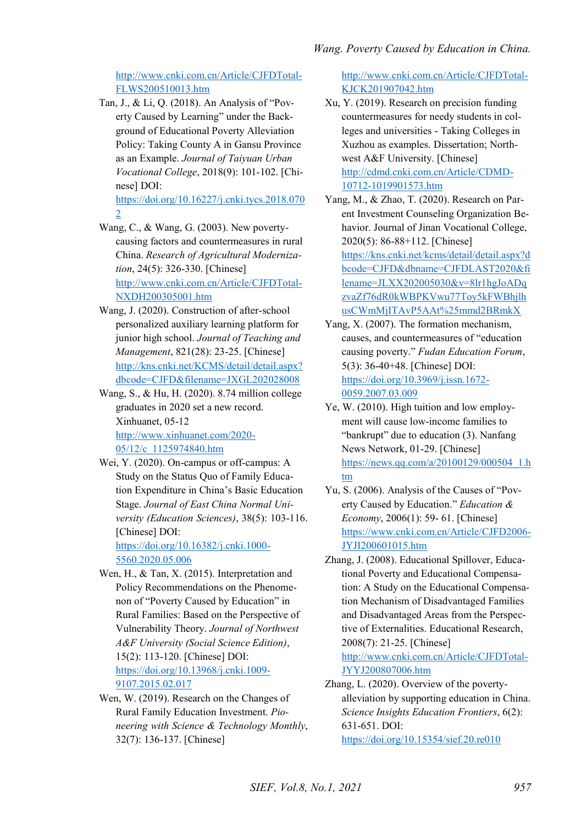[http://www.cnki.com.cn/Article/CJFDTotal-](http://www.cnki.com.cn/Article/CJFDTotal-FLWS200510013.htm)[FLWS200510013.htm](http://www.cnki.com.cn/Article/CJFDTotal-FLWS200510013.htm) 

Tan, J., & Li, Q. (2018). An Analysis of "Poverty Caused by Learning" under the Background of Educational Poverty Alleviation Policy: Taking County A in Gansu Province as an Example. *Journal of Taiyuan Urban Vocational College*, 2018(9): 101-102. [Chinese] DOI:

[https://doi.org/10.16227/j.cnki.tycs.2018.070](https://doi.org/10.16227/j.cnki.tycs.2018.0702) [2](https://doi.org/10.16227/j.cnki.tycs.2018.0702) 

- Wang, C., & Wang, G. (2003). New povertycausing factors and countermeasures in rural China. *Research of Agricultural Modernization*, 24(5): 326-330. [Chinese] [http://www.cnki.com.cn/Article/CJFDTotal-](http://www.cnki.com.cn/Article/CJFDTotal-NXDH200305001.htm)[NXDH200305001.htm](http://www.cnki.com.cn/Article/CJFDTotal-NXDH200305001.htm)
- Wang, J. (2020). Construction of after-school personalized auxiliary learning platform for junior high school. *Journal of Teaching and Management*, 821(28): 23-25. [Chinese] [http://kns.cnki.net/KCMS/detail/detail.aspx?](http://kns.cnki.net/KCMS/detail/detail.aspx?dbcode=CJFD&filename=JXGL202028008) [dbcode=CJFD&filename=JXGL202028008](http://kns.cnki.net/KCMS/detail/detail.aspx?dbcode=CJFD&filename=JXGL202028008)
- Wang, S., & Hu, H. (2020). 8.74 million college graduates in 2020 set a new record. Xinhuanet, 05-12 [http://www.xinhuanet.com/2020-](http://www.xinhuanet.com/2020-05/12/c_1125974840.htm)
	- [05/12/c\\_1125974840.htm](http://www.xinhuanet.com/2020-05/12/c_1125974840.htm)
- Wei, Y. (2020). On-campus or off-campus: A Study on the Status Quo of Family Education Expenditure in China's Basic Education Stage. *Journal of East China Normal University (Education Sciences)*, 38(5): 103-116. [Chinese] DOI:

[https://doi.org/10.16382/j.cnki.1000-](https://doi.org/10.16382/j.cnki.1000-5560.2020.05.006) [5560.2020.05.006](https://doi.org/10.16382/j.cnki.1000-5560.2020.05.006) 

- Wen, H., & Tan, X. (2015). Interpretation and Policy Recommendations on the Phenomenon of "Poverty Caused by Education" in Rural Families: Based on the Perspective of Vulnerability Theory. *Journal of Northwest A&F University (Social Science Edition)*, 15(2): 113-120. [Chinese] DOI: [https://doi.org/10.13968/j.cnki.1009-](https://doi.org/10.13968/j.cnki.1009-9107.2015.02.017) [9107.2015.02.017](https://doi.org/10.13968/j.cnki.1009-9107.2015.02.017)
- Wen, W. (2019). Research on the Changes of Rural Family Education Investment. *Pioneering with Science & Technology Monthly*, 32(7): 136-137. [Chinese]

[http://www.cnki.com.cn/Article/CJFDTotal-](http://www.cnki.com.cn/Article/CJFDTotal-KJCK201907042.htm)[KJCK201907042.htm](http://www.cnki.com.cn/Article/CJFDTotal-KJCK201907042.htm) 

- Xu, Y. (2019). Research on precision funding countermeasures for needy students in colleges and universities - Taking Colleges in Xuzhou as examples. Dissertation; Northwest A&F University. [Chinese] [http://cdmd.cnki.com.cn/Article/CDMD-](http://cdmd.cnki.com.cn/Article/CDMD-10712-1019901573.htm)[10712-1019901573.htm](http://cdmd.cnki.com.cn/Article/CDMD-10712-1019901573.htm)
- Yang, M., & Zhao, T. (2020). Research on Parent Investment Counseling Organization Behavior. Journal of Jinan Vocational College, 2020(5): 86-88+112. [Chinese] [https://kns.cnki.net/kcms/detail/detail.aspx?d](https://kns.cnki.net/kcms/detail/detail.aspx?dbcode=CJFD&dbname=CJFDLAST2020&filename=JLXX202005030&v=8lr1hgJoADqzvaZf76dR0kWBPKVwu77Toy5kFWBhjlhusCWmMjITAvP5AAt%25mmd2BRmkX) [bcode=CJFD&dbname=CJFDLAST2020&fi](https://kns.cnki.net/kcms/detail/detail.aspx?dbcode=CJFD&dbname=CJFDLAST2020&filename=JLXX202005030&v=8lr1hgJoADqzvaZf76dR0kWBPKVwu77Toy5kFWBhjlhusCWmMjITAvP5AAt%25mmd2BRmkX) [lename=JLXX202005030&v=8lr1hgJoADq](https://kns.cnki.net/kcms/detail/detail.aspx?dbcode=CJFD&dbname=CJFDLAST2020&filename=JLXX202005030&v=8lr1hgJoADqzvaZf76dR0kWBPKVwu77Toy5kFWBhjlhusCWmMjITAvP5AAt%25mmd2BRmkX) [zvaZf76dR0kWBPKVwu77Toy5kFWBhjlh](https://kns.cnki.net/kcms/detail/detail.aspx?dbcode=CJFD&dbname=CJFDLAST2020&filename=JLXX202005030&v=8lr1hgJoADqzvaZf76dR0kWBPKVwu77Toy5kFWBhjlhusCWmMjITAvP5AAt%25mmd2BRmkX) [usCWmMjITAvP5AAt%25mmd2BRmkX](https://kns.cnki.net/kcms/detail/detail.aspx?dbcode=CJFD&dbname=CJFDLAST2020&filename=JLXX202005030&v=8lr1hgJoADqzvaZf76dR0kWBPKVwu77Toy5kFWBhjlhusCWmMjITAvP5AAt%25mmd2BRmkX)
- Yang, X. (2007). The formation mechanism, causes, and countermeasures of "education causing poverty." *Fudan Education Forum*, 5(3): 36-40+48. [Chinese] DOI: [https://doi.org/10.3969/j.issn.1672-](https://doi.org/10.3969/j.issn.1672-0059.2007.03.009) [0059.2007.03.009](https://doi.org/10.3969/j.issn.1672-0059.2007.03.009)
- Ye, W. (2010). High tuition and low employment will cause low-income families to "bankrupt" due to education (3). Nanfang News Network, 01-29. [Chinese] [https://news.qq.com/a/20100129/000504\\_1.h](https://news.qq.com/a/20100129/000504_1.htm) [tm](https://news.qq.com/a/20100129/000504_1.htm)
- Yu, S. (2006). Analysis of the Causes of "Poverty Caused by Education." *Education & Economy*, 2006(1): 59- 61. [Chinese] [https://www.cnki.com.cn/Article/CJFD2006-](https://www.cnki.com.cn/Article/CJFD2006-JYJI200601015.htm) [JYJI200601015.htm](https://www.cnki.com.cn/Article/CJFD2006-JYJI200601015.htm)
- Zhang, J. (2008). Educational Spillover, Educational Poverty and Educational Compensation: A Study on the Educational Compensation Mechanism of Disadvantaged Families and Disadvantaged Areas from the Perspective of Externalities. Educational Research, 2008(7): 21-25. [Chinese]

[http://www.cnki.com.cn/Article/CJFDTotal-](http://www.cnki.com.cn/Article/CJFDTotal-JYYJ200807006.htm)[JYYJ200807006.htm](http://www.cnki.com.cn/Article/CJFDTotal-JYYJ200807006.htm) 

Zhang, L. (2020). Overview of the povertyalleviation by supporting education in China. *Science Insights Education Frontiers*, 6(2): 631-651. DOI: <https://doi.org/10.15354/sief.20.re010>